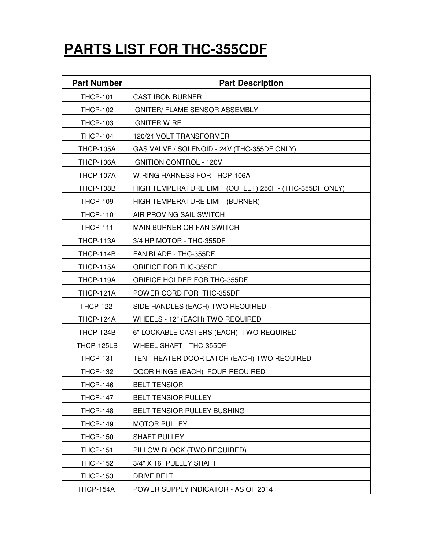## **PARTS LIST FOR THC-355CDF**

| <b>Part Number</b> | <b>Part Description</b>                                 |
|--------------------|---------------------------------------------------------|
| <b>THCP-101</b>    | <b>CAST IRON BURNER</b>                                 |
| <b>THCP-102</b>    | IGNITER/ FLAME SENSOR ASSEMBLY                          |
| <b>THCP-103</b>    | <b>IGNITER WIRE</b>                                     |
| <b>THCP-104</b>    | 120/24 VOLT TRANSFORMER                                 |
| <b>THCP-105A</b>   | GAS VALVE / SOLENOID - 24V (THC-355DF ONLY)             |
| THCP-106A          | IGNITION CONTROL - 120V                                 |
| <b>THCP-107A</b>   | WIRING HARNESS FOR THCP-106A                            |
| THCP-108B          | HIGH TEMPERATURE LIMIT (OUTLET) 250F - (THC-355DF ONLY) |
| <b>THCP-109</b>    | HIGH TEMPERATURE LIMIT (BURNER)                         |
| <b>THCP-110</b>    | AIR PROVING SAIL SWITCH                                 |
| <b>THCP-111</b>    | MAIN BURNER OR FAN SWITCH                               |
| <b>THCP-113A</b>   | 3/4 HP MOTOR - THC-355DF                                |
| THCP-114B          | FAN BLADE - THC-355DF                                   |
| <b>THCP-115A</b>   | ORIFICE FOR THC-355DF                                   |
| THCP-119A          | ORIFICE HOLDER FOR THC-355DF                            |
| <b>THCP-121A</b>   | POWER CORD FOR THC-355DF                                |
| <b>THCP-122</b>    | SIDE HANDLES (EACH) TWO REQUIRED                        |
| THCP-124A          | WHEELS - 12" (EACH) TWO REQUIRED                        |
| THCP-124B          | 6" LOCKABLE CASTERS (EACH) TWO REQUIRED                 |
| THCP-125LB         | WHEEL SHAFT - THC-355DF                                 |
| <b>THCP-131</b>    | TENT HEATER DOOR LATCH (EACH) TWO REQUIRED              |
| <b>THCP-132</b>    | DOOR HINGE (EACH) FOUR REQUIRED                         |
| <b>THCP-146</b>    | <b>BELT TENSIOR</b>                                     |
| <b>THCP-147</b>    | <b>BELT TENSIOR PULLEY</b>                              |
| <b>THCP-148</b>    | BELT TENSIOR PULLEY BUSHING                             |
| <b>THCP-149</b>    | <b>MOTOR PULLEY</b>                                     |
| <b>THCP-150</b>    | <b>SHAFT PULLEY</b>                                     |
| <b>THCP-151</b>    | PILLOW BLOCK (TWO REQUIRED)                             |
| <b>THCP-152</b>    | 3/4" X 16" PULLEY SHAFT                                 |
| <b>THCP-153</b>    | <b>DRIVE BELT</b>                                       |
| THCP-154A          | POWER SUPPLY INDICATOR - AS OF 2014                     |